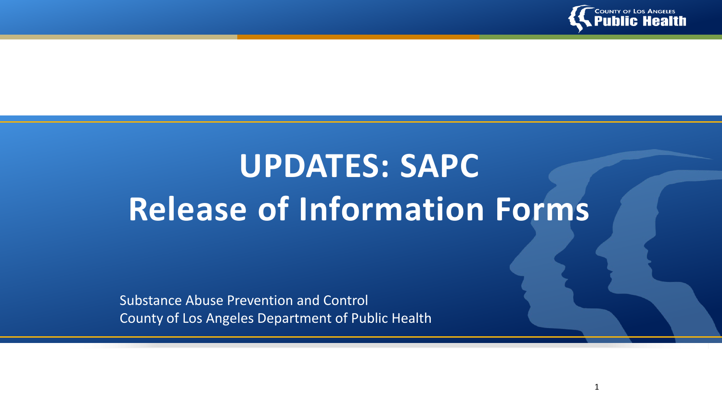

1

# **UPDATES: SAPC Release of Information Forms**

Substance Abuse Prevention and Control County of Los Angeles Department of Public Health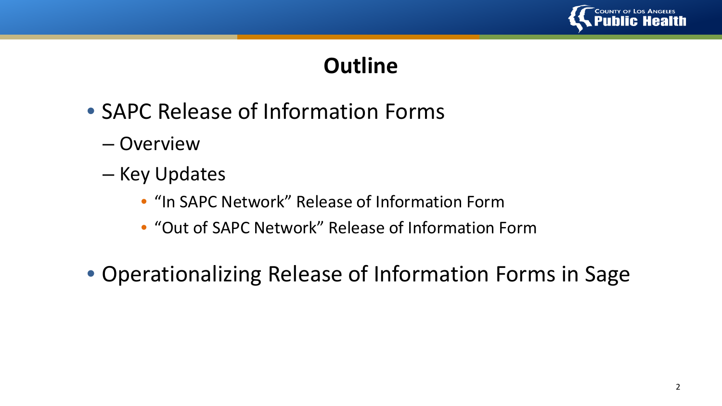

## **Outline**

- SAPC Release of Information Forms
	- Overview
	- Key Updates
		- "In SAPC Network" Release of Information Form
		- "Out of SAPC Network" Release of Information Form
- Operationalizing Release of Information Forms in Sage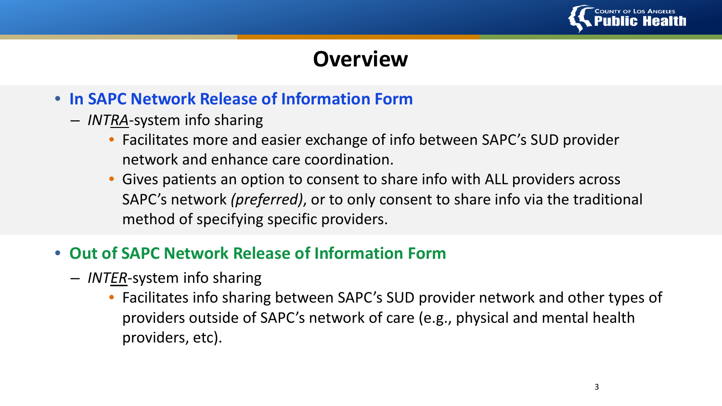

## **Overview**

- **In SAPC Network Release of Information Form** 
	- *INTRA*-system info sharing
		- Facilitates more and easier exchange of info between SAPC's SUD provider network and enhance care coordination.
		- Gives patients an option to consent to share info with ALL providers across SAPC's network *(preferred)*, or to only consent to share info via the traditional method of specifying specific providers.
- **Out of SAPC Network Release of Information Form**
	- *INTER*-system info sharing
		- Facilitates info sharing between SAPC's SUD provider network and other types of providers outside of SAPC's network of care (e.g., physical and mental health providers, etc).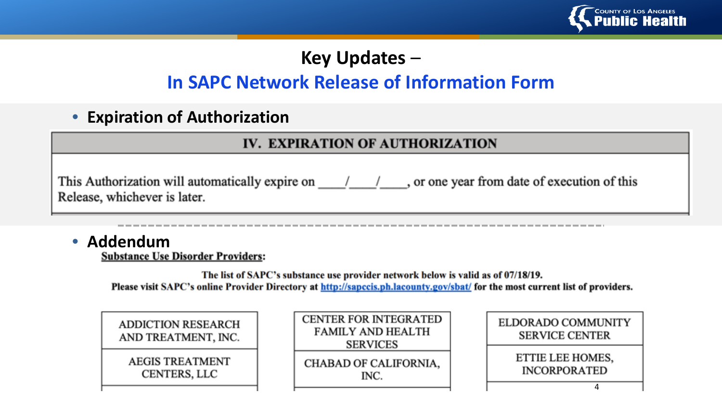

## **Key Updates** –

## **In SAPC Network Release of Information Form**

• **Expiration of Authorization**

#### **IV. EXPIRATION OF AUTHORIZATION**

This Authorization will automatically expire on  $\frac{1}{\sqrt{2}}$  or one year from date of execution of this Release, whichever is later.

• **Addendum**<br>Substance Use Disorder Providers:

The list of SAPC's substance use provider network below is valid as of 07/18/19. Please visit SAPC's online Provider Directory at http://sapccis.ph.lacounty.gov/sbat/ for the most current list of providers.

| <b>ADDICTION RESEARCH</b><br>AND TREATMENT, INC. |
|--------------------------------------------------|
| <b>AEGIS TREATMENT</b><br>CENTERS, LLC           |

| <b>CENTER FOR INTEGRATED</b><br>FAMILY AND HEALTH<br><b>SERVICES</b> |
|----------------------------------------------------------------------|
| <b>CHABAD OF CALIFORNIA,</b><br>INC                                  |

| ELDORADO COMMUNITY<br><b>SERVICE CENTER</b> |
|---------------------------------------------|
| ETTIE LEE HOMES,<br><b>INCORPORATED</b>     |
|                                             |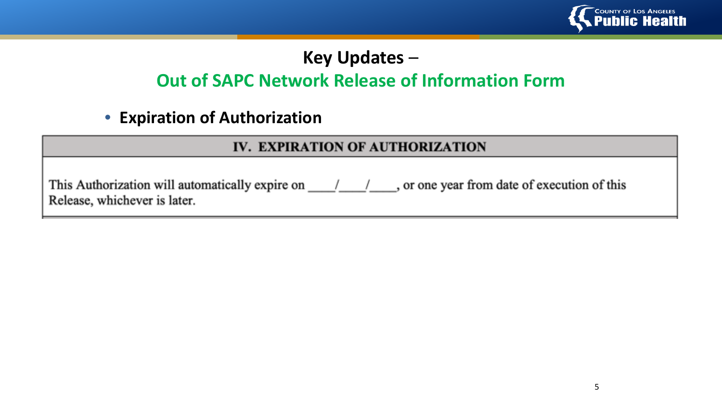

### **Key Updates** –

### **Out of SAPC Network Release of Information Form**

• **Expiration of Authorization**

#### IV. EXPIRATION OF AUTHORIZATION

This Authorization will automatically expire on  $\frac{1}{\sqrt{2}}$  or one year from date of execution of this Release, whichever is later.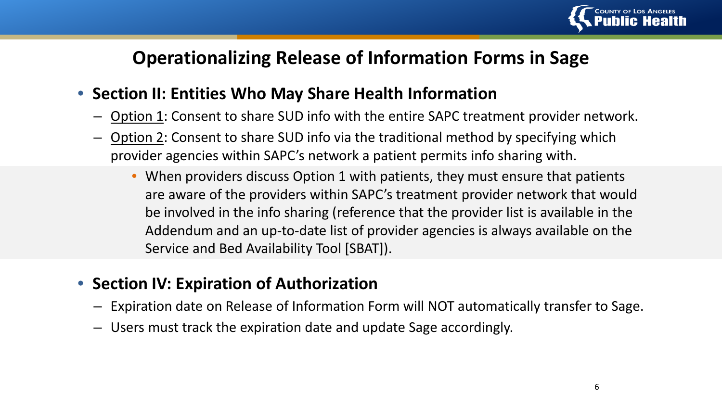

#### **Operationalizing Release of Information Forms in Sage**

#### • **Section II: Entities Who May Share Health Information**

- Option 1: Consent to share SUD info with the entire SAPC treatment provider network.
- Option 2: Consent to share SUD info via the traditional method by specifying which provider agencies within SAPC's network a patient permits info sharing with.
	- When providers discuss Option 1 with patients, they must ensure that patients are aware of the providers within SAPC's treatment provider network that would be involved in the info sharing (reference that the provider list is available in the Addendum and an up-to-date list of provider agencies is always available on the Service and Bed Availability Tool [SBAT]).

#### • **Section IV: Expiration of Authorization**

- Expiration date on Release of Information Form will NOT automatically transfer to Sage.
- Users must track the expiration date and update Sage accordingly.